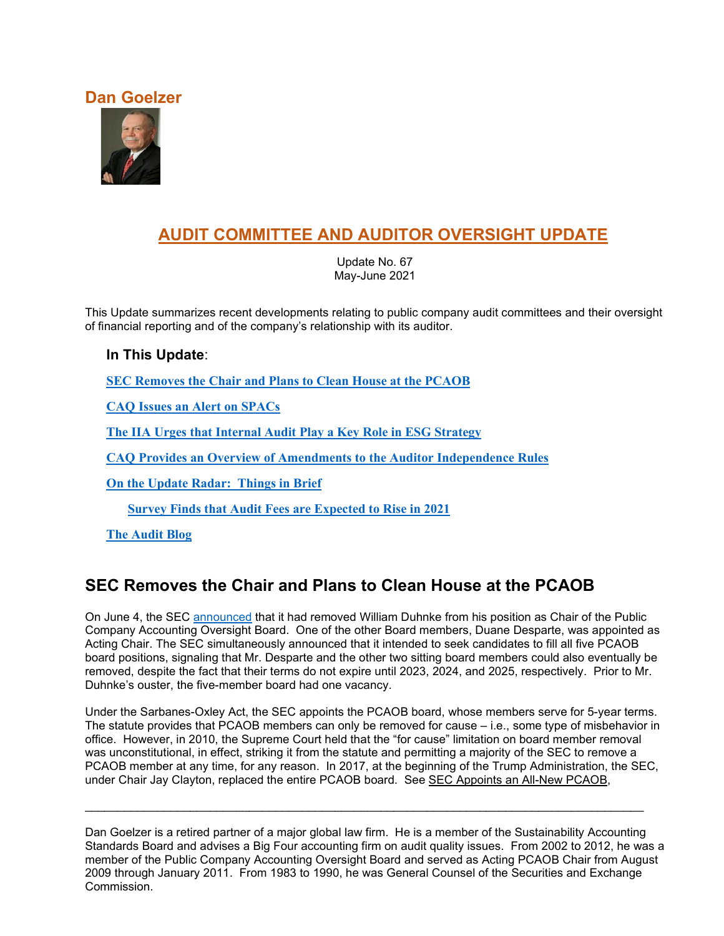### **Dan Goelzer**



# **AUDIT COMMITTEE AND AUDITOR OVERSIGHT UPDATE**

Update No. 67 May-June 2021

This Update summarizes recent developments relating to public company audit committees and their oversight of financial reporting and of the company's relationship with its auditor.

#### **In This Update**:

**[SEC Removes the Chair and Plans to Clean House at the PCAOB](#page-0-0)**

**[CAQ Issues an Alert on SPACs](#page-1-0)**

**[The IIA Urges that Internal Audit Play a Key Role in ESG Strategy](#page-3-0)**

**CAQ Provides an Overview of Amendments to the Auditor Independence Rules**

**[On the Update Radar: Things in Brief](#page-6-0)**

**Survey Finds that Audit [Fees are Expected to Rise in 2021](#page-6-1)**

**[The Audit Blog](#page-6-2)**

## <span id="page-0-0"></span>**SEC Removes the Chair and Plans to Clean House at the PCAOB**

On June 4, the SEC [announced](https://www.sec.gov/news/press-release/2021-93) that it had removed William Duhnke from his position as Chair of the Public Company Accounting Oversight Board. One of the other Board members, Duane Desparte, was appointed as Acting Chair. The SEC simultaneously announced that it intended to seek candidates to fill all five PCAOB board positions, signaling that Mr. Desparte and the other two sitting board members could also eventually be removed, despite the fact that their terms do not expire until 2023, 2024, and 2025, respectively. Prior to Mr. Duhnke's ouster, the five-member board had one vacancy.

Under the Sarbanes-Oxley Act, the SEC appoints the PCAOB board, whose members serve for 5-year terms. The statute provides that PCAOB members can only be removed for cause – i.e., some type of misbehavior in office. However, in 2010, the Supreme Court held that the "for cause" limitation on board member removal was unconstitutional, in effect, striking it from the statute and permitting a majority of the SEC to remove a PCAOB member at any time, for any reason. In 2017, at the beginning of the Trump Administration, the SEC, under Chair Jay Clayton, replaced the entire PCAOB board. See SEC Appoints an All-New PCAOB,

\_\_\_\_\_\_\_\_\_\_\_\_\_\_\_\_\_\_\_\_\_\_\_\_\_\_\_\_\_\_\_\_\_\_\_\_\_\_\_\_\_\_\_\_\_\_\_\_\_\_\_\_\_\_\_\_\_\_\_\_\_\_\_\_\_\_\_\_\_\_\_\_\_\_\_\_\_\_\_\_\_\_\_\_\_

Dan Goelzer is a retired partner of a major global law firm. He is a member of the Sustainability Accounting Standards Board and advises a Big Four accounting firm on audit quality issues. From 2002 to 2012, he was a member of the Public Company Accounting Oversight Board and served as Acting PCAOB Chair from August 2009 through January 2011. From 1983 to 1990, he was General Counsel of the Securities and Exchange Commission.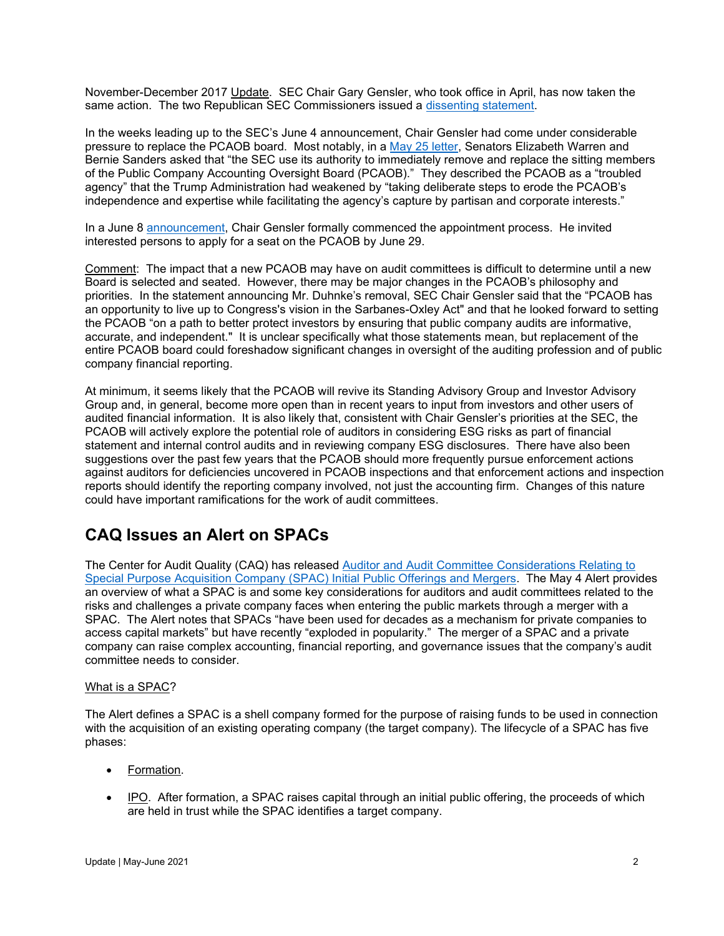November-December 2017 Update. SEC Chair Gary Gensler, who took office in April, has now taken the same action. The two Republican SEC Commissioners issued a [dissenting statement.](https://www.sec.gov/news/public-statement/peirce-roisman-pcaob-2021-06-04)

In the weeks leading up to the SEC's June 4 announcement, Chair Gensler had come under considerable pressure to replace the PCAOB board. Most notably, in a [May 25 letter,](https://www.warren.senate.gov/imo/media/doc/Letter%20to%20Gensler%20on%20PCAOB.pdf) Senators Elizabeth Warren and Bernie Sanders asked that "the SEC use its authority to immediately remove and replace the sitting members of the Public Company Accounting Oversight Board (PCAOB)." They described the PCAOB as a "troubled agency" that the Trump Administration had weakened by "taking deliberate steps to erode the PCAOB's independence and expertise while facilitating the agency's capture by partisan and corporate interests."

In a June 8 [announcement,](https://www.sec.gov/news/public-statement/gensler-statement-public-company-accounting-oversight-board-060821) Chair Gensler formally commenced the appointment process. He invited interested persons to apply for a seat on the PCAOB by June 29.

Comment: The impact that a new PCAOB may have on audit committees is difficult to determine until a new Board is selected and seated. However, there may be major changes in the PCAOB's philosophy and priorities. In the statement announcing Mr. Duhnke's removal, SEC Chair Gensler said that the "PCAOB has an opportunity to live up to Congress's vision in the Sarbanes-Oxley Act" and that he looked forward to setting the PCAOB "on a path to better protect investors by ensuring that public company audits are informative, accurate, and independent." It is unclear specifically what those statements mean, but replacement of the entire PCAOB board could foreshadow significant changes in oversight of the auditing profession and of public company financial reporting.

At minimum, it seems likely that the PCAOB will revive its Standing Advisory Group and Investor Advisory Group and, in general, become more open than in recent years to input from investors and other users of audited financial information. It is also likely that, consistent with Chair Gensler's priorities at the SEC, the PCAOB will actively explore the potential role of auditors in considering ESG risks as part of financial statement and internal control audits and in reviewing company ESG disclosures. There have also been suggestions over the past few years that the PCAOB should more frequently pursue enforcement actions against auditors for deficiencies uncovered in PCAOB inspections and that enforcement actions and inspection reports should identify the reporting company involved, not just the accounting firm. Changes of this nature could have important ramifications for the work of audit committees.

## <span id="page-1-0"></span>**CAQ Issues an Alert on SPACs**

The Center for Audit Quality (CAQ) has released [Auditor and Audit Committee Considerations Relating to](https://www.thecaq.org/caq-alert-2021-01/)  [Special Purpose Acquisition Company \(SPAC\) Initial Public Offerings and Mergers.](https://www.thecaq.org/caq-alert-2021-01/) The May 4 Alert provides an overview of what a SPAC is and some key considerations for auditors and audit committees related to the risks and challenges a private company faces when entering the public markets through a merger with a SPAC. The Alert notes that SPACs "have been used for decades as a mechanism for private companies to access capital markets" but have recently "exploded in popularity." The merger of a SPAC and a private company can raise complex accounting, financial reporting, and governance issues that the company's audit committee needs to consider.

#### What is a SPAC?

The Alert defines a SPAC is a shell company formed for the purpose of raising funds to be used in connection with the acquisition of an existing operating company (the target company). The lifecycle of a SPAC has five phases:

- Formation.
- IPO. After formation, a SPAC raises capital through an initial public offering, the proceeds of which are held in trust while the SPAC identifies a target company.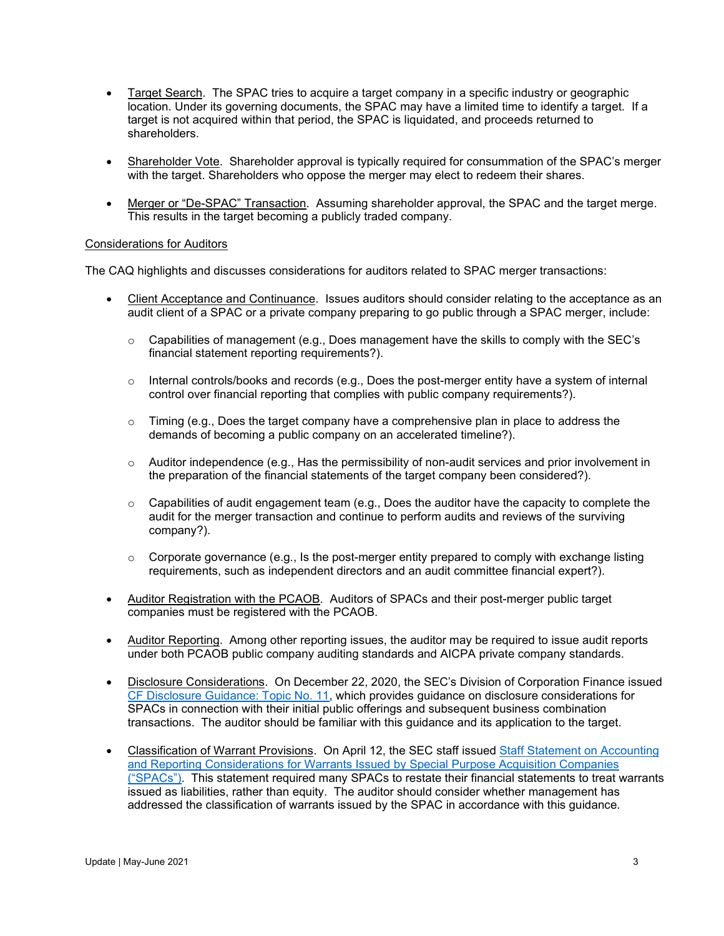- Target Search. The SPAC tries to acquire a target company in a specific industry or geographic location. Under its governing documents, the SPAC may have a limited time to identify a target. If a target is not acquired within that period, the SPAC is liquidated, and proceeds returned to shareholders.
- Shareholder Vote. Shareholder approval is typically required for consummation of the SPAC's merger with the target. Shareholders who oppose the merger may elect to redeem their shares.
- Merger or "De-SPAC" Transaction. Assuming shareholder approval, the SPAC and the target merge. This results in the target becoming a publicly traded company.

#### Considerations for Auditors

The CAQ highlights and discusses considerations for auditors related to SPAC merger transactions:

- Client Acceptance and Continuance. Issues auditors should consider relating to the acceptance as an audit client of a SPAC or a private company preparing to go public through a SPAC merger, include:
	- $\circ$  Capabilities of management (e.g., Does management have the skills to comply with the SEC's financial statement reporting requirements?).
	- o Internal controls/books and records (e.g., Does the post-merger entity have a system of internal control over financial reporting that complies with public company requirements?).
	- $\circ$  Timing (e.g., Does the target company have a comprehensive plan in place to address the demands of becoming a public company on an accelerated timeline?).
	- $\circ$  Auditor independence (e.g., Has the permissibility of non-audit services and prior involvement in the preparation of the financial statements of the target company been considered?).
	- $\circ$  Capabilities of audit engagement team (e.g., Does the auditor have the capacity to complete the audit for the merger transaction and continue to perform audits and reviews of the surviving company?).
	- $\circ$  Corporate governance (e.g., Is the post-merger entity prepared to comply with exchange listing requirements, such as independent directors and an audit committee financial expert?).
- Auditor Registration with the PCAOB. Auditors of SPACs and their post-merger public target companies must be registered with the PCAOB.
- Auditor Reporting. Among other reporting issues, the auditor may be required to issue audit reports under both PCAOB public company auditing standards and AICPA private company standards.
- Disclosure Considerations. On December 22, 2020, the SEC's Division of Corporation Finance issued [CF Disclosure Guidance: Topic No. 11,](https://www.sec.gov/corpfin/disclosure-special-purpose-acquisition-companies) which provides guidance on disclosure considerations for SPACs in connection with their initial public offerings and subsequent business combination transactions. The auditor should be familiar with this guidance and its application to the target.
- Classification of Warrant Provisions. On April 12, the SEC staff issued [Staff Statement on Accounting](https://www.sec.gov/news/public-statement/accounting-reporting-warrants-issued-spacs)  [and Reporting Considerations for Warrants Issued by Special Purpose Acquisition Companies](https://www.sec.gov/news/public-statement/accounting-reporting-warrants-issued-spacs)  [\("SPACs"\).](https://www.sec.gov/news/public-statement/accounting-reporting-warrants-issued-spacs) This statement required many SPACs to restate their financial statements to treat warrants issued as liabilities, rather than equity. The auditor should consider whether management has addressed the classification of warrants issued by the SPAC in accordance with this guidance.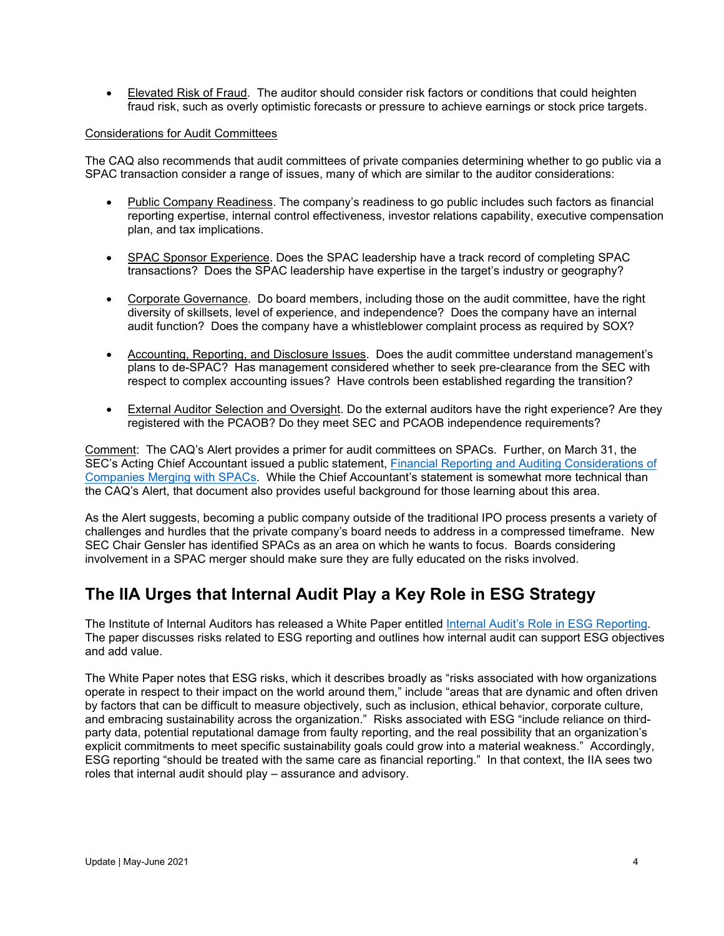• Elevated Risk of Fraud. The auditor should consider risk factors or conditions that could heighten fraud risk, such as overly optimistic forecasts or pressure to achieve earnings or stock price targets.

#### Considerations for Audit Committees

The CAQ also recommends that audit committees of private companies determining whether to go public via a SPAC transaction consider a range of issues, many of which are similar to the auditor considerations:

- Public Company Readiness. The company's readiness to go public includes such factors as financial reporting expertise, internal control effectiveness, investor relations capability, executive compensation plan, and tax implications.
- SPAC Sponsor Experience. Does the SPAC leadership have a track record of completing SPAC transactions? Does the SPAC leadership have expertise in the target's industry or geography?
- Corporate Governance. Do board members, including those on the audit committee, have the right diversity of skillsets, level of experience, and independence? Does the company have an internal audit function? Does the company have a whistleblower complaint process as required by SOX?
- Accounting, Reporting, and Disclosure Issues. Does the audit committee understand management's plans to de-SPAC? Has management considered whether to seek pre-clearance from the SEC with respect to complex accounting issues? Have controls been established regarding the transition?
- External Auditor Selection and Oversight. Do the external auditors have the right experience? Are they registered with the PCAOB? Do they meet SEC and PCAOB independence requirements?

Comment: The CAQ's Alert provides a primer for audit committees on SPACs. Further, on March 31, the SEC's Acting Chief Accountant issued a public statement, [Financial Reporting and Auditing Considerations of](https://www.sec.gov/news/public-statement/munter-spac-20200331?utm_medium=email&utm_source=govdelivery)  [Companies Merging with SPACs.](https://www.sec.gov/news/public-statement/munter-spac-20200331?utm_medium=email&utm_source=govdelivery) While the Chief Accountant's statement is somewhat more technical than the CAQ's Alert, that document also provides useful background for those learning about this area.

As the Alert suggests, becoming a public company outside of the traditional IPO process presents a variety of challenges and hurdles that the private company's board needs to address in a compressed timeframe. New SEC Chair Gensler has identified SPACs as an area on which he wants to focus. Boards considering involvement in a SPAC merger should make sure they are fully educated on the risks involved.

### <span id="page-3-0"></span>**The IIA Urges that Internal Audit Play a Key Role in ESG Strategy**

The Institute of Internal Auditors has released a White Paper entitled [Internal Audit's Role in ESG Reporting.](https://global.theiia.org/about/about-internal-auditing/Public%20Documents/White-Paper-Internal-Audits-Role-in-ESG-Reporting.pdf) The paper discusses risks related to ESG reporting and outlines how internal audit can support ESG objectives and add value.

The White Paper notes that ESG risks, which it describes broadly as "risks associated with how organizations operate in respect to their impact on the world around them," include "areas that are dynamic and often driven by factors that can be difficult to measure objectively, such as inclusion, ethical behavior, corporate culture, and embracing sustainability across the organization." Risks associated with ESG "include reliance on thirdparty data, potential reputational damage from faulty reporting, and the real possibility that an organization's explicit commitments to meet specific sustainability goals could grow into a material weakness." Accordingly, ESG reporting "should be treated with the same care as financial reporting." In that context, the IIA sees two roles that internal audit should play – assurance and advisory.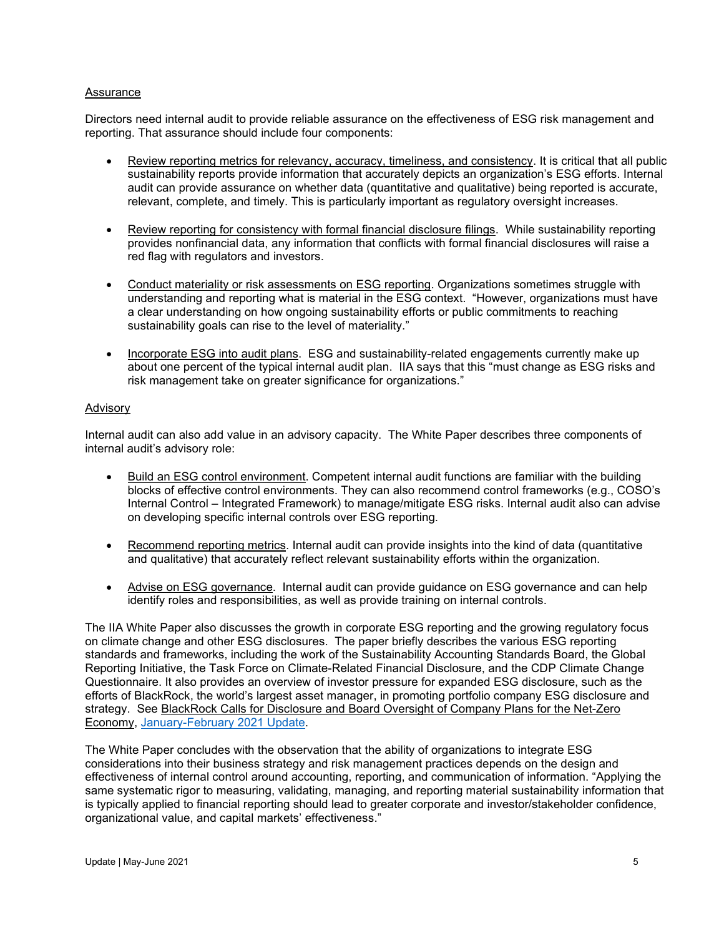#### Assurance

Directors need internal audit to provide reliable assurance on the effectiveness of ESG risk management and reporting. That assurance should include four components:

- Review reporting metrics for relevancy, accuracy, timeliness, and consistency. It is critical that all public sustainability reports provide information that accurately depicts an organization's ESG efforts. Internal audit can provide assurance on whether data (quantitative and qualitative) being reported is accurate, relevant, complete, and timely. This is particularly important as regulatory oversight increases.
- Review reporting for consistency with formal financial disclosure filings. While sustainability reporting provides nonfinancial data, any information that conflicts with formal financial disclosures will raise a red flag with regulators and investors.
- Conduct materiality or risk assessments on ESG reporting. Organizations sometimes struggle with understanding and reporting what is material in the ESG context. "However, organizations must have a clear understanding on how ongoing sustainability efforts or public commitments to reaching sustainability goals can rise to the level of materiality."
- Incorporate ESG into audit plans. ESG and sustainability-related engagements currently make up about one percent of the typical internal audit plan. IIA says that this "must change as ESG risks and risk management take on greater significance for organizations."

#### Advisory

Internal audit can also add value in an advisory capacity. The White Paper describes three components of internal audit's advisory role:

- Build an ESG control environment. Competent internal audit functions are familiar with the building blocks of effective control environments. They can also recommend control frameworks (e.g., COSO's Internal Control – Integrated Framework) to manage/mitigate ESG risks. Internal audit also can advise on developing specific internal controls over ESG reporting.
- Recommend reporting metrics. Internal audit can provide insights into the kind of data (quantitative and qualitative) that accurately reflect relevant sustainability efforts within the organization.
- Advise on ESG governance. Internal audit can provide guidance on ESG governance and can help identify roles and responsibilities, as well as provide training on internal controls.

The IIA White Paper also discusses the growth in corporate ESG reporting and the growing regulatory focus on climate change and other ESG disclosures. The paper briefly describes the various ESG reporting standards and frameworks, including the work of the Sustainability Accounting Standards Board, the Global Reporting Initiative, the Task Force on Climate-Related Financial Disclosure, and the CDP Climate Change Questionnaire. It also provides an overview of investor pressure for expanded ESG disclosure, such as the efforts of BlackRock, the world's largest asset manager, in promoting portfolio company ESG disclosure and strategy. See BlackRock Calls for Disclosure and Board Oversight of Company Plans for the Net-Zero Economy, [January-February 2021 Update.](https://b65438bf-9321-45db-8f57-d57780f6c776.filesusr.com/ugd/6ebb47_b87457cf2a6848e8aff37716281e8778.pdf)

The White Paper concludes with the observation that the ability of organizations to integrate ESG considerations into their business strategy and risk management practices depends on the design and effectiveness of internal control around accounting, reporting, and communication of information. "Applying the same systematic rigor to measuring, validating, managing, and reporting material sustainability information that is typically applied to financial reporting should lead to greater corporate and investor/stakeholder confidence, organizational value, and capital markets' effectiveness."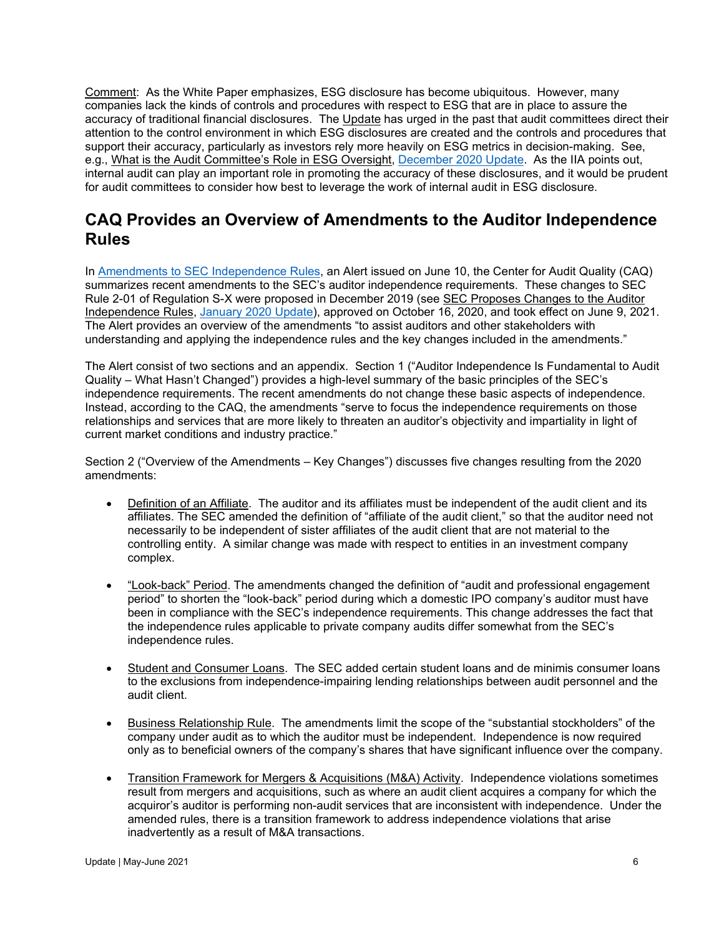Comment: As the White Paper emphasizes, ESG disclosure has become ubiquitous. However, many companies lack the kinds of controls and procedures with respect to ESG that are in place to assure the accuracy of traditional financial disclosures. The Update has urged in the past that audit committees direct their attention to the control environment in which ESG disclosures are created and the controls and procedures that support their accuracy, particularly as investors rely more heavily on ESG metrics in decision-making. See, e.g., What is the Audit Committee's Role in ESG Oversight, [December 2020 Update.](https://b65438bf-9321-45db-8f57-d57780f6c776.filesusr.com/ugd/6ebb47_055a2bf2728b4aeaaf8aad7728c53084.pdf) As the IIA points out, internal audit can play an important role in promoting the accuracy of these disclosures, and it would be prudent for audit committees to consider how best to leverage the work of internal audit in ESG disclosure.

### **CAQ Provides an Overview of Amendments to the Auditor Independence Rules**

In [Amendments to SEC Independence Rules,](https://www.thecaq.org/caq-alert-2021-02/) an Alert issued on June 10, the Center for Audit Quality (CAQ) summarizes recent amendments to the SEC's auditor independence requirements. These changes to SEC Rule 2-01 of Regulation S-X were proposed in December 2019 (see SEC Proposes Changes to the Auditor Independence Rules, [January 2020 Update\)](http://www.dgoelzer.com/AuditUpdateNo57.pdf), approved on October 16, 2020, and took effect on June 9, 2021. The Alert provides an overview of the amendments "to assist auditors and other stakeholders with understanding and applying the independence rules and the key changes included in the amendments."

The Alert consist of two sections and an appendix. Section 1 ("Auditor Independence Is Fundamental to Audit Quality – What Hasn't Changed") provides a high-level summary of the basic principles of the SEC's independence requirements. The recent amendments do not change these basic aspects of independence. Instead, according to the CAQ, the amendments "serve to focus the independence requirements on those relationships and services that are more likely to threaten an auditor's objectivity and impartiality in light of current market conditions and industry practice."

Section 2 ("Overview of the Amendments – Key Changes") discusses five changes resulting from the 2020 amendments:

- Definition of an Affiliate. The auditor and its affiliates must be independent of the audit client and its affiliates. The SEC amended the definition of "affiliate of the audit client," so that the auditor need not necessarily to be independent of sister affiliates of the audit client that are not material to the controlling entity. A similar change was made with respect to entities in an investment company complex.
- "Look-back" Period. The amendments changed the definition of "audit and professional engagement period" to shorten the "look-back" period during which a domestic IPO company's auditor must have been in compliance with the SEC's independence requirements. This change addresses the fact that the independence rules applicable to private company audits differ somewhat from the SEC's independence rules.
- Student and Consumer Loans. The SEC added certain student loans and de minimis consumer loans to the exclusions from independence-impairing lending relationships between audit personnel and the audit client.
- Business Relationship Rule. The amendments limit the scope of the "substantial stockholders" of the company under audit as to which the auditor must be independent. Independence is now required only as to beneficial owners of the company's shares that have significant influence over the company.
- Transition Framework for Mergers & Acquisitions (M&A) Activity. Independence violations sometimes result from mergers and acquisitions, such as where an audit client acquires a company for which the acquiror's auditor is performing non-audit services that are inconsistent with independence. Under the amended rules, there is a transition framework to address independence violations that arise inadvertently as a result of M&A transactions.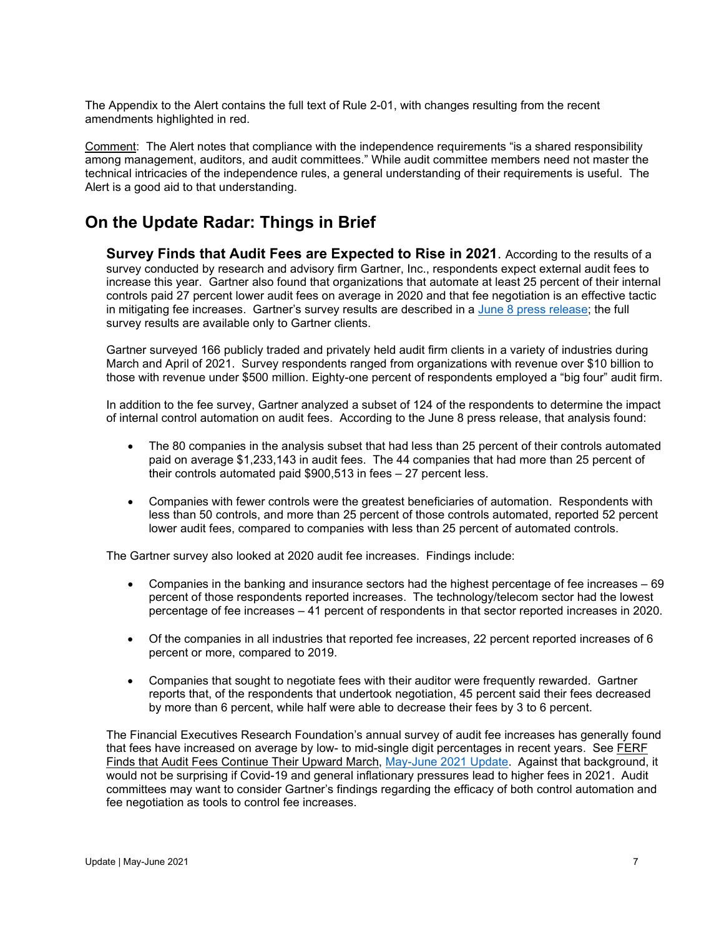The Appendix to the Alert contains the full text of Rule 2-01, with changes resulting from the recent amendments highlighted in red.

Comment: The Alert notes that compliance with the independence requirements "is a shared responsibility among management, auditors, and audit committees." While audit committee members need not master the technical intricacies of the independence rules, a general understanding of their requirements is useful. The Alert is a good aid to that understanding.

### <span id="page-6-0"></span>**On the Update Radar: Things in Brief**

<span id="page-6-1"></span>**Survey Finds that Audit Fees are Expected to Rise in 2021**. According to the results of a survey conducted by research and advisory firm Gartner, Inc., respondents expect external audit fees to increase this year. Gartner also found that organizations that automate at least 25 percent of their internal controls paid 27 percent lower audit fees on average in 2020 and that fee negotiation is an effective tactic in mitigating fee increases. Gartner's survey results are described in a [June 8 press release;](https://www.gartner.com/en/newsroom/press-releases/2021-06-08-gartner-survey-shows-62-percent-of-organizations-expect-external-audit-fees-to-increase-in-2021) the full survey results are available only to Gartner clients.

Gartner surveyed 166 publicly traded and privately held audit firm clients in a variety of industries during March and April of 2021. Survey respondents ranged from organizations with revenue over \$10 billion to those with revenue under \$500 million. Eighty-one percent of respondents employed a "big four" audit firm.

In addition to the fee survey, Gartner analyzed a subset of 124 of the respondents to determine the impact of internal control automation on audit fees. According to the June 8 press release, that analysis found:

- The 80 companies in the analysis subset that had less than 25 percent of their controls automated paid on average \$1,233,143 in audit fees. The 44 companies that had more than 25 percent of their controls automated paid \$900,513 in fees – 27 percent less.
- Companies with fewer controls were the greatest beneficiaries of automation. Respondents with less than 50 controls, and more than 25 percent of those controls automated, reported 52 percent lower audit fees, compared to companies with less than 25 percent of automated controls.

The Gartner survey also looked at 2020 audit fee increases. Findings include:

- Companies in the banking and insurance sectors had the highest percentage of fee increases 69 percent of those respondents reported increases. The technology/telecom sector had the lowest percentage of fee increases – 41 percent of respondents in that sector reported increases in 2020.
- Of the companies in all industries that reported fee increases, 22 percent reported increases of 6 percent or more, compared to 2019.
- Companies that sought to negotiate fees with their auditor were frequently rewarded. Gartner reports that, of the respondents that undertook negotiation, 45 percent said their fees decreased by more than 6 percent, while half were able to decrease their fees by 3 to 6 percent.

<span id="page-6-2"></span>The Financial Executives Research Foundation's annual survey of audit fee increases has generally found that fees have increased on average by low- to mid-single digit percentages in recent years. See FERF Finds that Audit Fees Continue Their Upward March, [May-June 2021 Update.](https://b65438bf-9321-45db-8f57-d57780f6c776.filesusr.com/ugd/6ebb47_c0b287739bf746138df2c5f53687e31b.pdf) Against that background, it would not be surprising if Covid-19 and general inflationary pressures lead to higher fees in 2021. Audit committees may want to consider Gartner's findings regarding the efficacy of both control automation and fee negotiation as tools to control fee increases.